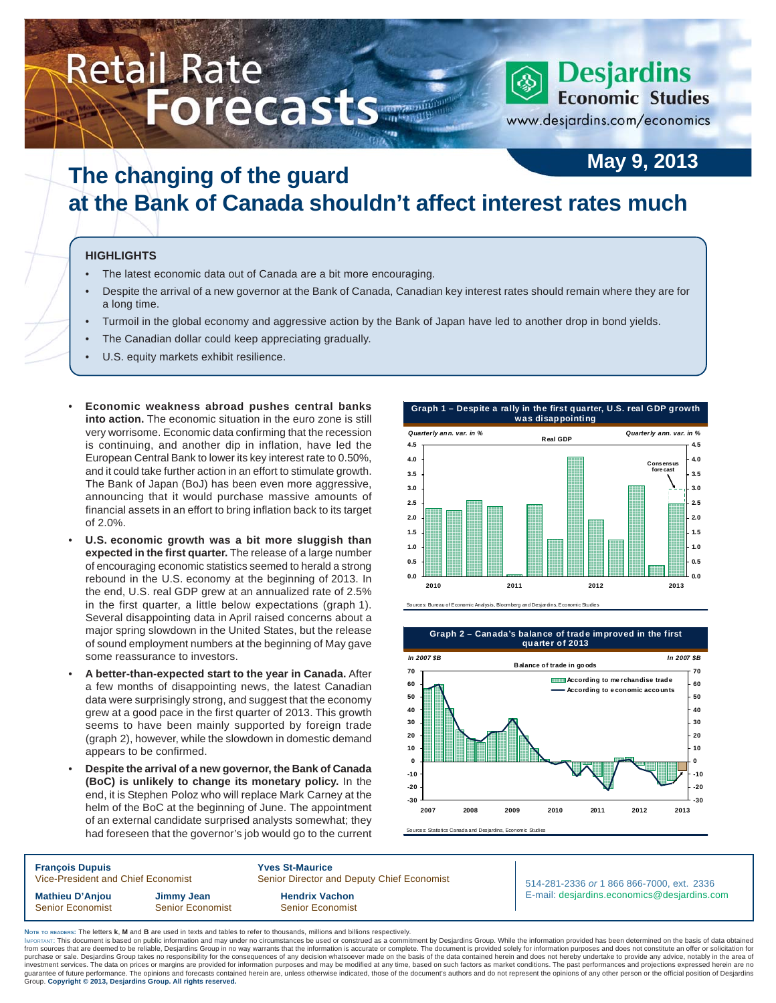# Retail Rate **Bank Contract Contract Contract Contract Contract Contract Contract Contract Conducts** Economic Studies

www.desjardins.com/economics

## **May 9, 2013 The changing of the guard at the Bank of Canada shouldn't affect interest rates much**

#### **HIGHLIGHTS**

- The latest economic data out of Canada are a bit more encouraging.
- Despite the arrival of a new governor at the Bank of Canada, Canadian key interest rates should remain where they are for a long time.
- Turmoil in the global economy and aggressive action by the Bank of Japan have led to another drop in bond yields.
- The Canadian dollar could keep appreciating gradually.
- U.S. equity markets exhibit resilience.
- **Economic weakness abroad pushes central banks into action.** The economic situation in the euro zone is still very worrisome. Economic data confirming that the recession is continuing, and another dip in inflation, have led the European Central Bank to lower its key interest rate to 0.50%, and it could take further action in an effort to stimulate growth. The Bank of Japan (BoJ) has been even more aggressive, announcing that it would purchase massive amounts of financial assets in an effort to bring inflation back to its target of 2.0%.
- **U.S. economic growth was a bit more sluggish than expected in the first quarter.** The release of a large number of encouraging economic statistics seemed to herald a strong rebound in the U.S. economy at the beginning of 2013. In the end, U.S. real GDP grew at an annualized rate of 2.5% in the first quarter, a little below expectations (graph 1). Several disappointing data in April raised concerns about a major spring slowdown in the United States, but the release of sound employment numbers at the beginning of May gave some reassurance to investors.
- **A better-than-expected start to the year in Canada.** After a few months of disappointing news, the latest Canadian data were surprisingly strong, and suggest that the economy grew at a good pace in the first quarter of 2013. This growth seems to have been mainly supported by foreign trade (graph 2), however, while the slowdown in domestic demand appears to be confirmed.
- **Despite the arrival of a new governor, the Bank of Canada (BoC) is unlikely to change its monetary policy.** In the end, it is Stephen Poloz who will replace Mark Carney at the helm of the BoC at the beginning of June. The appointment of an external candidate surprised analysts somewhat; they had foreseen that the governor's job would go to the current





es: Statistics Canada and Desjardins, Economic Stud

**François Dupuis 1988**<br>Vice-President and Chief Economist 1988 Senior Director and Chief Economist Senior Director and Deputy Chief Economist **Mathieu D'Anjou Jimmy Jean Hendrix Vachon** Senior Economist Senior Economist Senior Senior Economist

514-281-2336 *or* 1 866 866-7000, ext. 2336 E-mail: desjardins.economics@desjardins.com

**NOTE TO READERS:** The letters **k**, **M** and **B** are used in texts and tables to refer to thousands, millions and billions respectively.

purchase or sale. Desjardins Group takes no responsibility for the consequences of any decision whatsoever made on the basis of the data contained herein and does not hereby undertake to provide any advice, notably in the IMPORTANT: This document is based on public information and may under no circumstances be used or construed as a commitment by Desjardins Group. While the information provided has been determined on the basis of data obtai from sources that are deemed to be reliable, Desjardins Group in no way warrants that the information is accurate or complete. The document is provided solely for information purposes and does not constitute an offer or so purchase or sale. Desjardins Group takes no responsibility for the consequences of any decision whatsoever made on the basis of the data contained herein and does not hereby undertake to provide any advice, notably in the Group. **Copyright © 2013, Desjardins Group. All rights reserved.**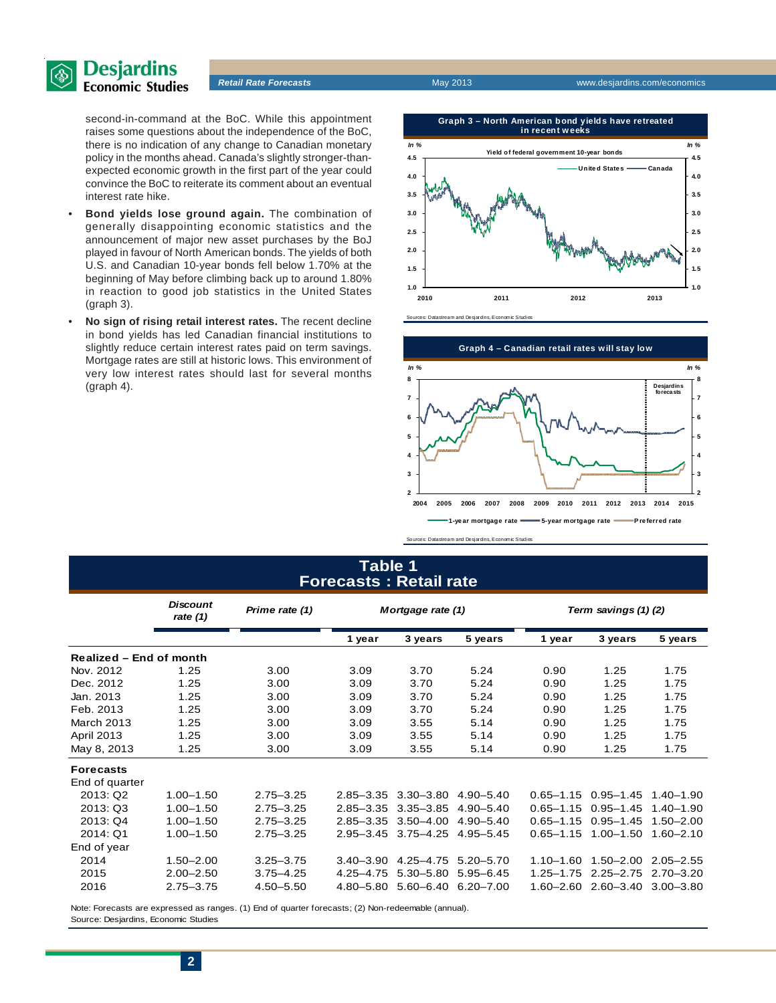

second-in-command at the BoC. While this appointment raises some questions about the independence of the BoC, there is no indication of any change to Canadian monetary policy in the months ahead. Canada's slightly stronger-thanexpected economic growth in the first part of the year could convince the BoC to reiterate its comment about an eventual interest rate hike.

- **Bond yields lose ground again.** The combination of generally disappointing economic statistics and the announcement of major new asset purchases by the BoJ played in favour of North American bonds. The yields of both U.S. and Canadian 10-year bonds fell below 1.70% at the beginning of May before climbing back up to around 1.80% in reaction to good job statistics in the United States (graph 3).
- **No sign of rising retail interest rates.** The recent decline in bond yields has led Canadian financial institutions to slightly reduce certain interest rates paid on term savings. Mortgage rates are still at historic lows. This environment of very low interest rates should last for several months (graph 4).



Sources: Datastream and Desjardins, Economic Studies



### **Table 1 Forecasts : Retail rate**

|                         | <b>Discount</b><br>rate $(1)$ | Prime rate (1) |               | Mortgage rate (1) |               |               | Term savings (1)(2)         |               |  |  |  |
|-------------------------|-------------------------------|----------------|---------------|-------------------|---------------|---------------|-----------------------------|---------------|--|--|--|
|                         |                               |                | 1 year        | 3 years           | 5 years       | 1 year        | 3 years                     | 5 years       |  |  |  |
| Realized – End of month |                               |                |               |                   |               |               |                             |               |  |  |  |
| Nov. 2012               | 1.25                          | 3.00           | 3.09          | 3.70              | 5.24          | 0.90          | 1.25                        | 1.75          |  |  |  |
| Dec. 2012               | 1.25                          | 3.00           | 3.09          | 3.70              | 5.24          | 0.90          | 1.25                        | 1.75          |  |  |  |
| Jan. 2013               | 1.25                          | 3.00           | 3.09          | 3.70              | 5.24          | 0.90          | 1.25                        | 1.75          |  |  |  |
| Feb. 2013               | 1.25                          | 3.00           | 3.09          | 3.70              | 5.24          | 0.90          | 1.25                        | 1.75          |  |  |  |
| March 2013              | 1.25                          | 3.00           | 3.09          | 3.55              | 5.14          | 0.90          | 1.25                        | 1.75          |  |  |  |
| April 2013              | 1.25                          | 3.00           | 3.09          | 3.55              | 5.14          | 0.90          | 1.25                        | 1.75          |  |  |  |
| May 8, 2013             | 1.25                          | 3.00           | 3.09          | 3.55              | 5.14          | 0.90          | 1.25                        | 1.75          |  |  |  |
| <b>Forecasts</b>        |                               |                |               |                   |               |               |                             |               |  |  |  |
| End of quarter          |                               |                |               |                   |               |               |                             |               |  |  |  |
| 2013: Q2                | $1.00 - 1.50$                 | $2.75 - 3.25$  | $2.85 - 3.35$ | $3.30 - 3.80$     | $4.90 - 5.40$ |               | $0.65 - 1.15$ $0.95 - 1.45$ | $1.40 - 1.90$ |  |  |  |
| 2013: Q3                | $1.00 - 1.50$                 | $2.75 - 3.25$  | $2.85 - 3.35$ | $3.35 - 3.85$     | $4.90 - 5.40$ | $0.65 - 1.15$ | $0.95 - 1.45$               | $1.40 - 1.90$ |  |  |  |
| 2013: Q4                | $1.00 - 1.50$                 | $2.75 - 3.25$  | $2.85 - 3.35$ | $3.50 - 4.00$     | $4.90 - 5.40$ | $0.65 - 1.15$ | $0.95 - 1.45$               | $1.50 - 2.00$ |  |  |  |
| 2014: Q1                | $1.00 - 1.50$                 | $2.75 - 3.25$  | $2.95 - 3.45$ | $3.75 - 4.25$     | $4.95 - 5.45$ | $0.65 - 1.15$ | $1.00 - 1.50$               | $1.60 - 2.10$ |  |  |  |
| End of year             |                               |                |               |                   |               |               |                             |               |  |  |  |
| 2014                    | $1.50 - 2.00$                 | $3.25 - 3.75$  | $3.40 - 3.90$ | $4.25 - 4.75$     | $5.20 - 5.70$ | $1.10 - 1.60$ | $1.50 - 2.00$               | $2.05 - 2.55$ |  |  |  |
| 2015                    | $2.00 - 2.50$                 | $3.75 - 4.25$  | $4.25 - 4.75$ | $5.30 - 5.80$     | $5.95 - 6.45$ | $1.25 - 1.75$ | $2.25 - 2.75$               | $2.70 - 3.20$ |  |  |  |
| 2016                    | $2.75 - 3.75$                 | $4.50 - 5.50$  | $4.80 - 5.80$ | $5.60 - 6.40$     | $6.20 - 7.00$ | $1.60 - 2.60$ | $2.60 - 3.40$               | $3.00 - 3.80$ |  |  |  |

Note: Forecasts are expressed as ranges. (1) End of quarter forecasts; (2) Non-redeemable (annual). Source: Desjardins, Economic Studies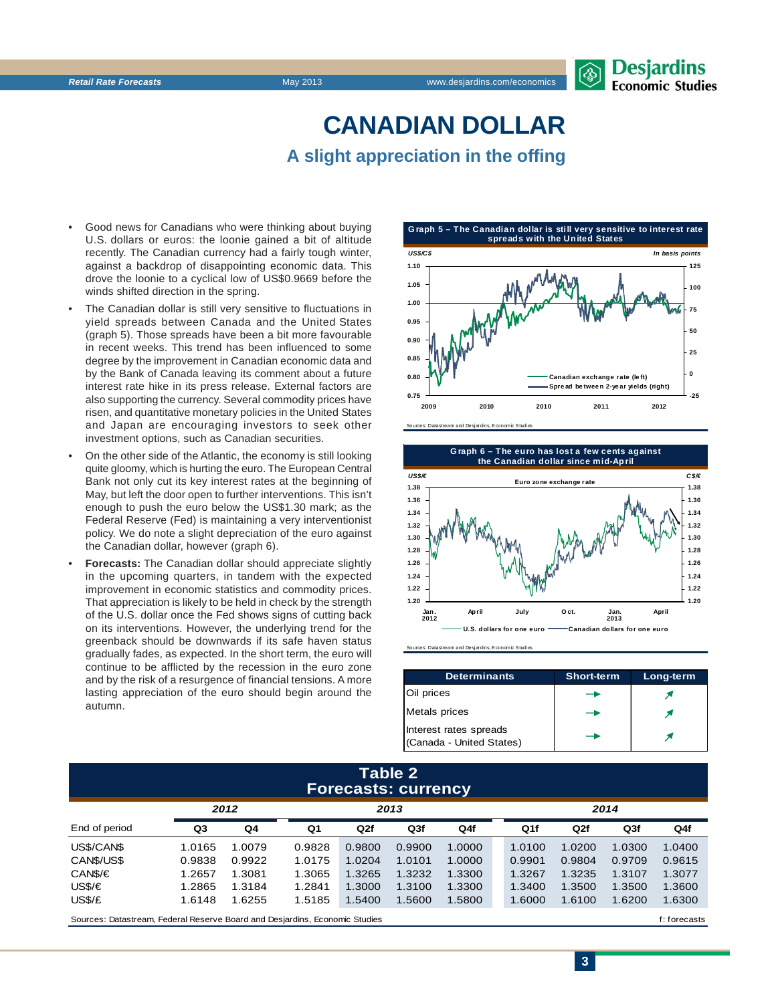# **CANADIAN DOLLAR A slight appreciation in the offing**

- Good news for Canadians who were thinking about buying U.S. dollars or euros: the loonie gained a bit of altitude recently. The Canadian currency had a fairly tough winter, against a backdrop of disappointing economic data. This drove the loonie to a cyclical low of US\$0.9669 before the winds shifted direction in the spring.
- The Canadian dollar is still very sensitive to fluctuations in yield spreads between Canada and the United States (graph 5). Those spreads have been a bit more favourable in recent weeks. This trend has been influenced to some degree by the improvement in Canadian economic data and by the Bank of Canada leaving its comment about a future interest rate hike in its press release. External factors are also supporting the currency. Several commodity prices have risen, and quantitative monetary policies in the United States and Japan are encouraging investors to seek other investment options, such as Canadian securities.
- On the other side of the Atlantic, the economy is still looking quite gloomy, which is hurting the euro. The European Central Bank not only cut its key interest rates at the beginning of May, but left the door open to further interventions. This isn't enough to push the euro below the US\$1.30 mark; as the Federal Reserve (Fed) is maintaining a very interventionist policy. We do note a slight depreciation of the euro against the Canadian dollar, however (graph 6).
- **Forecasts:** The Canadian dollar should appreciate slightly in the upcoming quarters, in tandem with the expected improvement in economic statistics and commodity prices. That appreciation is likely to be held in check by the strength of the U.S. dollar once the Fed shows signs of cutting back on its interventions. However, the underlying trend for the greenback should be downwards if its safe haven status gradually fades, as expected. In the short term, the euro will continue to be afflicted by the recession in the euro zone and by the risk of a resurgence of financial tensions. A more lasting appreciation of the euro should begin around the autumn.





Sources: Datastream and Desjardins, Economic Studies

| <b>Determinants</b>                                | <b>Short-term</b> | Long-term |
|----------------------------------------------------|-------------------|-----------|
| Oil prices                                         |                   |           |
| <b>Metals</b> prices                               |                   |           |
| Interest rates spreads<br>(Canada - United States) |                   |           |

### **Table 2 Forecasts: currency**

|               | 2012   |        | 2013           |        |                 |        | 2014   |        |                 |        |
|---------------|--------|--------|----------------|--------|-----------------|--------|--------|--------|-----------------|--------|
| End of period | Q3     | Q4     | Q <sub>1</sub> | Q2f    | Q <sub>3f</sub> | Q4f    | Q1f    | Q2f    | Q <sub>3f</sub> | Q4f    |
| US\$/CAN\$    | 1.0165 | 1.0079 | 0.9828         | 0.9800 | 0.9900          | 1.0000 | 1.0100 | 1.0200 | 1.0300          | 1.0400 |
| CANS/US\$     | 0.9838 | 0.9922 | 1.0175         | 1.0204 | 1.0101          | 1.0000 | 0.9901 | 0.9804 | 0.9709          | 0.9615 |
| CAN\$/€       | 1.2657 | 1.3081 | 1.3065         | 1.3265 | 1.3232          | 1.3300 | 1.3267 | 1.3235 | 1.3107          | 1.3077 |
| US\$/€        | 1.2865 | 1.3184 | 1.2841         | 1.3000 | 1.3100          | 1.3300 | 1.3400 | 1.3500 | 1.3500          | 1.3600 |
| US\$/£        | 1.6148 | 1.6255 | 1.5185         | 1.5400 | 1.5600          | 1.5800 | 1.6000 | 1.6100 | 1.6200          | 1.6300 |
|               |        |        |                |        |                 |        |        |        |                 |        |

Sources: Datastream, Federal Reserve Board and Desjardins, Economic Studies file of the state of the state of the state of the state of the state of the state of the state of the state of the state of the state of the stat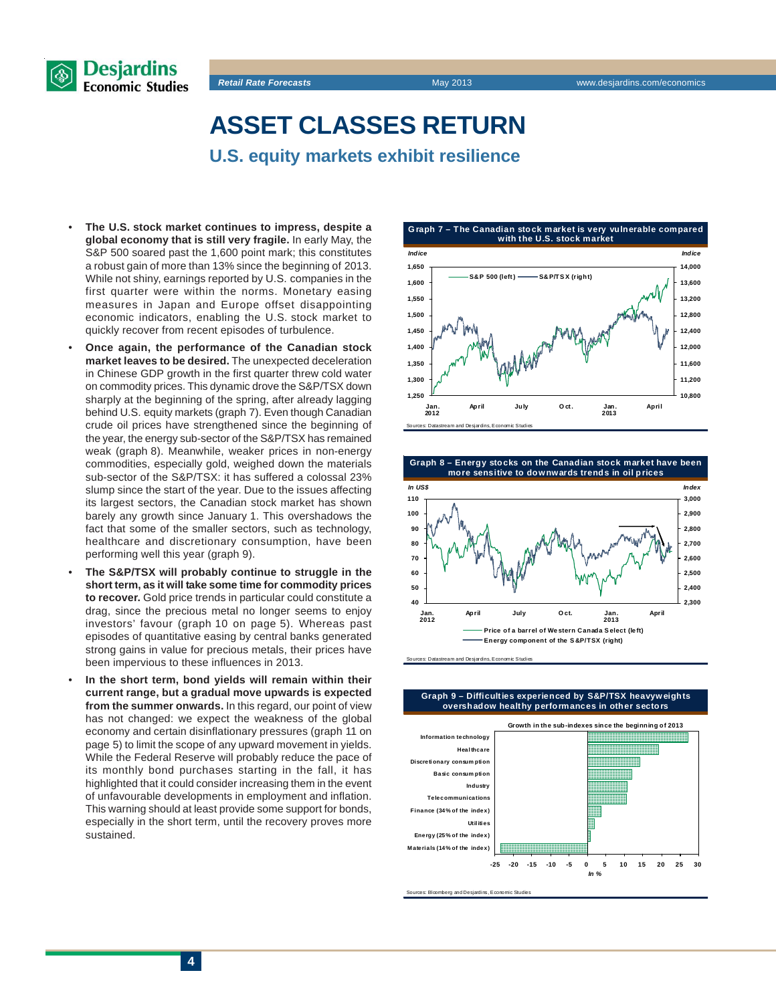



**ASSET CLASSES RETURN**

- **U.S. equity markets exhibit resilience**
- **The U.S. stock market continues to impress, despite a global economy that is still very fragile.** In early May, the S&P 500 soared past the 1,600 point mark; this constitutes a robust gain of more than 13% since the beginning of 2013. While not shiny, earnings reported by U.S. companies in the first quarter were within the norms. Monetary easing measures in Japan and Europe offset disappointing economic indicators, enabling the U.S. stock market to quickly recover from recent episodes of turbulence.
- **Once again, the performance of the Canadian stock market leaves to be desired.** The unexpected deceleration in Chinese GDP growth in the first quarter threw cold water on commodity prices. This dynamic drove the S&P/TSX down sharply at the beginning of the spring, after already lagging behind U.S. equity markets (graph 7). Even though Canadian crude oil prices have strengthened since the beginning of the year, the energy sub-sector of the S&P/TSX has remained weak (graph 8). Meanwhile, weaker prices in non-energy commodities, especially gold, weighed down the materials sub-sector of the S&P/TSX: it has suffered a colossal 23% slump since the start of the year. Due to the issues affecting its largest sectors, the Canadian stock market has shown barely any growth since January 1. This overshadows the fact that some of the smaller sectors, such as technology, healthcare and discretionary consumption, have been performing well this year (graph 9).
- **The S&P/TSX will probably continue to struggle in the short term, as it will take some time for commodity prices to recover.** Gold price trends in particular could constitute a drag, since the precious metal no longer seems to enjoy investors' favour (graph 10 on page 5). Whereas past episodes of quantitative easing by central banks generated strong gains in value for precious metals, their prices have been impervious to these influences in 2013.
- **In the short term, bond yields will remain within their current range, but a gradual move upwards is expected from the summer onwards.** In this regard, our point of view has not changed: we expect the weakness of the global economy and certain disinflationary pressures (graph 11 on page 5) to limit the scope of any upward movement in yields. While the Federal Reserve will probably reduce the pace of its monthly bond purchases starting in the fall, it has highlighted that it could consider increasing them in the event of unfavourable developments in employment and inflation. This warning should at least provide some support for bonds, especially in the short term, until the recovery proves more sustained.





sources: Datastream and Desiardins, Economic Studies

#### **Graph 9 – Difficulties experienced by S&P/TSX heavyw eights overshadow healthy performances in other sectors**



orces: Bloomberg and Desjardins, Economic Studies